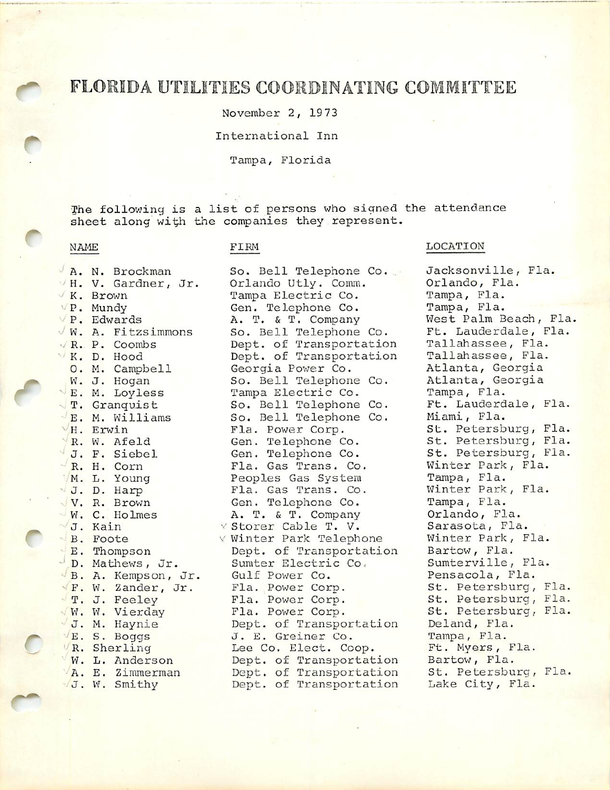# FLORIDA UTILITIES COORDINATING COMMITTEE

November 2, 1973

## International Inn

### Tampa, Florida

The following is a list of persons who signed the attendance sheet along with the companies they represent.

**P. Mundy Gen. Telephone Co.**<br> **P. Edwards A. T. & T. Company** B. A. Kempson, Jr.

C

M. V. Gardner, Jr. Orlando Utly. Comm. Orlando, Fl<br>K. Brown Tampa Electric Co. Tampa, Fla. K. Brown Tampa Electric Co. Tampa, Fla. **P. Edwards** A. T. & T. Company West Palm Beach, Fla.<br>
W. A. Fitzsimmons So. Bell Telephone Co. Ft. Lauderdale, Fla. So. Bell Telephone Co. Ft. Lauderdale, F<br>Dept. of Transportation Tallahassee, Fla. **(R. P. Coombs bept. of Transportation Tallahassee, Fla.**<br> **K. D. Hood Bept. of Transportation Tallahassee, Fla.** K. D. Hood Dept. of Transportation<br>
O. M. Campbell Georgia Power Co. Georgia Power Co. Atlanta, Georgia<br>So. Bell Telephone Co. Atlanta, Georgia W. J. Hogan So. Bell Telephone Co. **JE. M. Loyless Fampa Electric Co.** Tampa, Fla.<br>T. Granquist So. Bell Telephone Co. Ft. Lauderdale, Fla. T. Granquist So. Bell Telephone Co. Ft. Lauderdale, Fla.  $\frac{1}{\sqrt{E}}$ . M. Williams So. Bell Telephone Co.<br> $\frac{1}{\sqrt{H}}$ . Erwin Fla. Power Corp. ^ H. Erwin Fla. Power Corp. St. Petersburg, Fla. R. W. Afeld Gen. Telephone Co. St. Petersburg, Fla.<br>J. F. Siebel Gen. Telephone Co. St. Petersburg, Fla. R. H. Corn Fla. Gas Trans. Co. Winter Park, Fla. M. L. Young Peoples Gas System<br>J. D. Harp Fla. Gas Trans. Co. V. R. Brown Gen. Telephone Co. Tampa, Fla.<br>V. C. Holmes A. T. & T. Company Orlando, Fla. VW. C. Holmes A. T. & T. Company Orlando, Fla.<br>VJ. Kain v Storer Cable T. V. Sarasota, Fla. ∨ Storer Cable T. V. Sarasota, Fla.<br>∨ Winter Park Telephone Minter Park, Fla. B. Foote V Winter Park Telephone Winter Park,<br>E. Thompson Dept. of Transportation Bartow, Fla. Dept. of Transportation Bartow, Fla.<br>Sumter Electric Co. Sumterville, Fla. J. Mathews, Jr. Sumter Electric Co. Sumterville, Fl. (B. A. Kempson, Jr. Gulf Power Co. Pensacola, Fla. **F. W. Zander, Jr. Fla. Power Corp. St. Petersburg, Fla. (1988)**<br> **F. J. Feeley** Fla. Power Corp. St. Petersburg, Fla. **T. J. Feeley Fla. Power Corp. St. Petersburg, Fla.**<br> **W. W. Vierday** Fla. Power Corp. St. Petersburg, Fla. J. M. Haynie Dept. of Transportation Deland, Fla. E. S. Boggs J. E. Greiner Co. Tampa, Fla.<br>
(R. Sherling Lee Co. Elect. Coop. Ft. Myers, Fla. Lee Co. Elect. Coop. Ft. Myers, F<br>Dept. of Transportation Bartow, Fla. W. L. Anderson bept. of Transportation Bartow, Fla. (A. E. Zimmerman Dept. of Transportation St. Petersburg, Fla. VA. E. Zimmerman Dept. of Transportation St. Petersburg,<br>VJ. W. Smithy Dept. of Transportation Lake City, Fla. Dept. of Transportation

# NAME FIRM FIRM LOCATION

A. N. Brockman So. Bell Telephone Co. . Jacksonville, Fla.<br>VH. V. Gardner, Jr. 0rlando Utly. Comm. 0rlando, Fla. St. Petersburg, Fla. Winter Park, Fla.<br>Tampa, Fla. St. Petersburg, Fla.<br>Deland, Fla.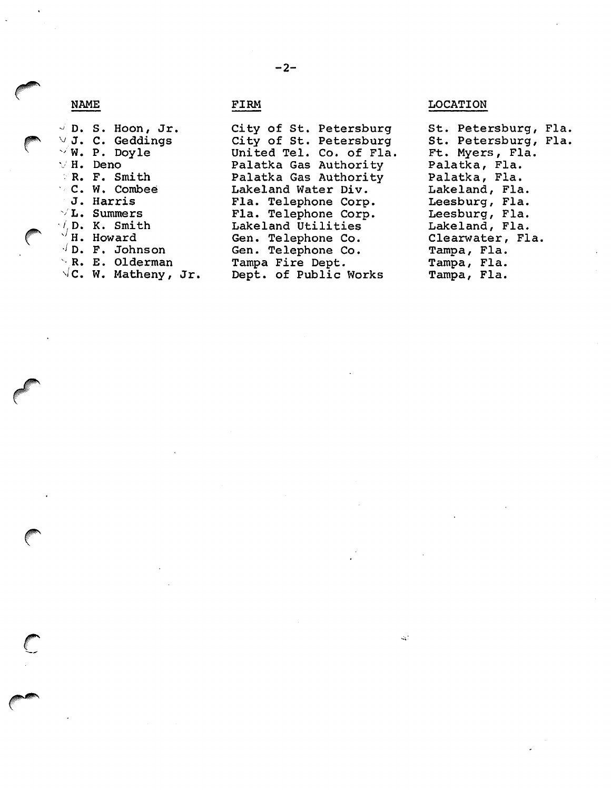D. S. Hoon, Jr. J. C. Geddings W. P. Doyle V H. Deno R. F. Smith C. W. Combee J. Harris L. Summers  $\mathcal{A}_i$ D. K. Smith H. Howard  $\sqrt{D}$ . F. Johnson R. E. Olderman  $\sqrt{\mathsf{C}}$ . W. Matheny, Jr.

City of St. Petersburg City of St. Petersburg United Tel. Co. of Fla. Palatka Gas Authority Palatka Gas Authority Lakeland Water Div. Fla. Telephone Corp. Fla. Telephone Corp. Lakeland Utilities Gen. Telephone Co. Gen. Telephone Co. Tampa Fire Dept. Dept. of Public Works

NAME FIRM FIRM LOCATION

 $\mathcal{L}_{\mathbf{a}}$ 

St. Petersburg, Fla. St. Petersburg, Fla. Ft. Myers, Fla. Palatka, Fla. Palatka, Fla. Lakeland, Fla. Leesburg, Fla. Leesburg, Fla. Lakeland, Fla. Clearwater, Fla. Tampa, Fla. Tampa, Fla. Tampa, Fla.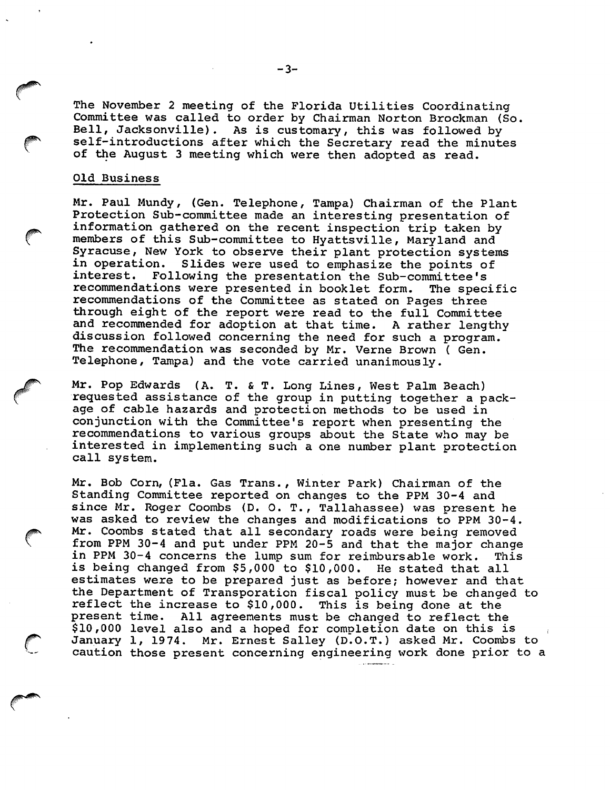The November 2 meeting of the Florida Utilities Coordinating Committee was called to order by Chairman Norton Brockman (So. Bell, Jacksonville). As is customary, this was followed by self-introductions after which the Secretary read the minutes of the August 3 meeting which were then adopted as read.

### Old Business

Mr. Paul Mundy, (Gen. Telephone, Tampa) Chairman of the Plant Protection Sub-committee made an interesting presentation of information gathered on the recent inspection trip taken by members of this Sub-committee to Hyattsville, Maryland and Syracuse, New York to observe their plant protection systems in operation. Slides were used to emphasize the points of<br>interest. Following the presentation the Sub-committee's Following the presentation the Sub-committee's recommendations were presented in booklet form. The specific recommendations of the Committee as stated on Pages three through eight of the report were read to the full Committee and recommended for adoption at that time. A rather lengthy discussion followed concerning the need for such a program. The recommendation was seconded by Mr. Verne Brown ( Gen. Telephone, Tampa) and the vote carried unanimously.

Mr. Pop Edwards (A. T. & T. Long Lines, West Palm Beach) requested assistance of the group in putting together a pack age of cable hazards and protection methods to be used in conjunction with the Committee's report when presenting the recommendations to various groups about the State who may be interested in implementing such a one number plant protection call system.

Mr. Bob Corn, (Fla. Gas Trans., Winter Park) Chairman of the Standing Committee reported on changes to the PPM 30-4 and since Mr. Roger Coombs (D. 0. T., Tallahassee) was present he was asked to review the changes and modifications to PPM 30-4. Mr. Coombs stated that all secondary roads were being removed from PPM 30-4 and put under PPM 20-5 and that the major change in PPM 30-4 concerns the lump sum for reimbursable work. This is being changed from \$5,000 to \$10,000. He stated that all estimates were to be prepared just as before; however and that the Department of Transporation fiscal policy must be changed to reflect the increase to \$10,000. This is being done at the<br>present time. All agreements must be changed to reflect the All agreements must be changed to reflect the \$10,000 level also and a hoped for completion date on this is January 1, 1974. Mr. Ernest Salley (D.O.T.) asked Mr. Coombs to caution those present concerning engineering work done prior to a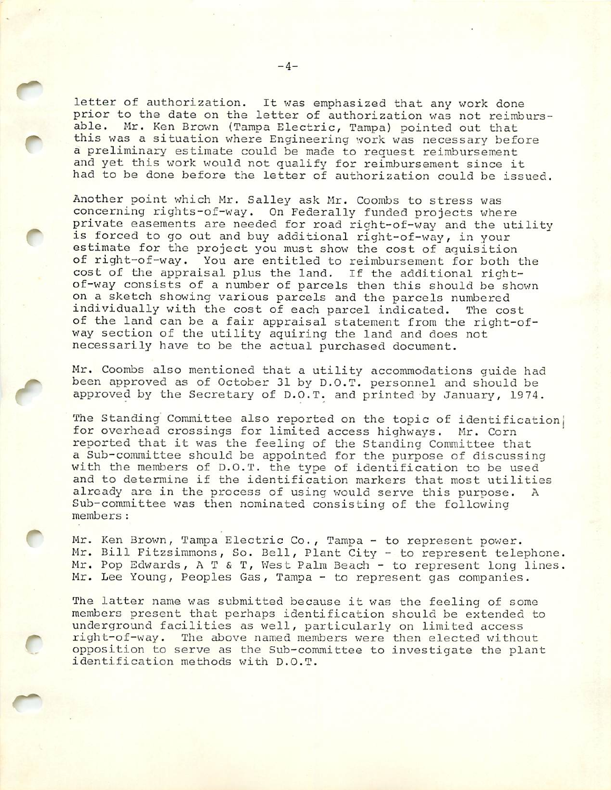letter of authorization. It was emphasized that any work done prior to the date on the letter of authorization was not reimbursable. Mr. Ken Brown (Tampa Electric, Tampa) pointed out that this was a situation where Engineering work was necessary before a preliminary estimate could be made to request reimbursement and yet this work would not qualify for reimbursement since it had to be done before the letter of authorization could be issued.

Another point which Mr. Salley ask Mr. Coombs to stress was concerning rights-of-way. On Federally funded projects where private easements are needed for road right-of-way and the utility is forced to go out and buy additional right-of-way, in your estimate for the project you must show the cost of aquisition of right-of-way. You are entitled to reimbursement for both the cost of the appraisal plus the land. If the additional rightof-way consists of a number of parcels then this should be shown on a sketch showing various parcels and the parcels numbered individually with the cost of each parcel indicated. The cost of the land can be a fair appraisal statement from the right-ofway section of the utility aquiring the land and does not necessarily have to be the actual purchased document.

Mr. Coombs also mentioned that a utility accommodations guide had been approved as of October 31 by D.O.T. personnel and should be approved by the Secretary of D.O.T. and printed by January, 1974.

The Standing Committee also reported on the topic of identification, for overhead crossings for limited access highways. Mr. Corn reported that it was the feeling of the Standing Committee that a Sub-committee should be appointed for the purpose of discussing with the members of D.O.T. the type of identification to be used and to determine if the identification markers that most utilities already are in the process of using would serve this purpose. A Sub-committee was then nominated consisting of the following members:

Mr. Ken Brown, Tampa Electric Co., Tampa - to represent power. Mr. Bill Fitzsimmons, So. Bell, Plant City - to represent telephone. Mr. Pop Edwards, A T & T, West Palm Beach - to represent long lines. Mr. Lee Young, Peoples Gas, Tampa - to represent gas companies.

The latter name was submitted because it was the feeling of some members present that perhaps identification should be extended to underground facilities as well, particularly on limited access right-of-way. The above named members were then elected without opposition to serve as the Sub-committee to investigate the plant identification methods with D.O.T.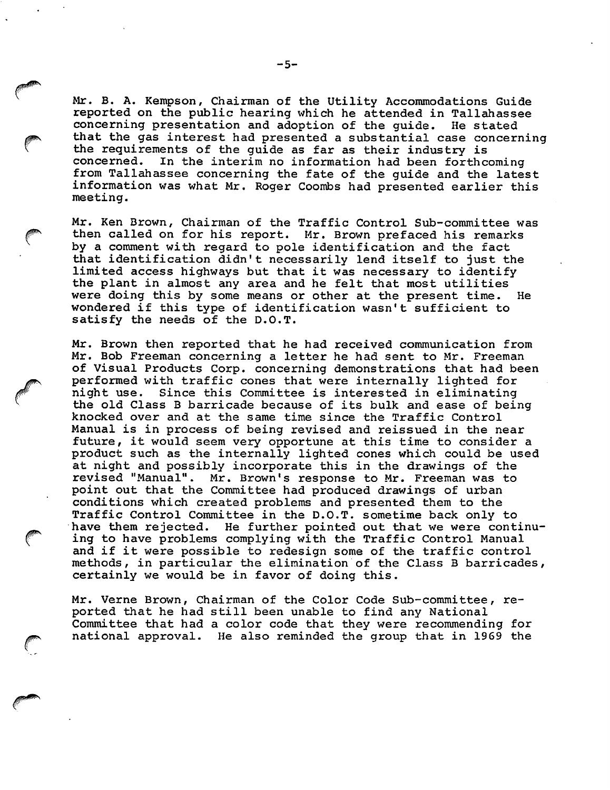Mr. B. A. Kempson, Chairman of the Utility Accommodations Guide reported on the public hearing which he attended in Tallahassee concerning presentation and adoption of the guide. He stated that the gas interest had presented a substantial case concerning the requirements of the guide as far as their industry is concerned. In the interim no information had been forthcoming from Tallahassee concerning the fate of the guide and the latest information was what Mr. Roger Coombs had presented earlier this meeting.

Mr. Ken Brown, Chairman of the Traffic Control Sub-committee was then called on for his report. Mr. Brown prefaced his remarks by a comment with regard to pole identification and the fact that identification didn't necessarily lend itself to just the limited access highways but that it was necessary to identify the plant in almost any area and he felt that most utilities were doing this by some means or other at the present time. He wondered if this type of identification wasn't sufficient to satisfy the needs of the D.O.T.

Mr. Brown then reported that he had received communication from Mr. Bob Freeman concerning a letter he had sent to Mr. Freeman of Visual Products Corp. concerning demonstrations that had been performed with traffic cones that were internally lighted for<br>night use. Since this Committee is interested in eliminating Since this Committee is interested in eliminating the old Class B barricade because of its bulk and ease of being knocked over and at the same time since the Traffic Control Manual is in process of being revised and reissued in the near future, it would seem very opportune at this time to consider a product such as the internally lighted cones which could be used at night and possibly incorporate this in the drawings of the revised "Manual". Mr. Brown's response to Mr. Freeman was to point out that the Committee had produced drawings of urban conditions which created problems and presented them to the Traffic Control Committee in the D.O.T. sometime back only to have them rejected. He further pointed out that we were continu ing to have problems complying with the Traffic Control Manual and if it were possible to redesign some of the traffic control methods, in particular the elimination of the Class B barricades, certainly we would be in favor of doing this.

Mr. Verne Brown, Chairman of the Color Code Sub-committee, re ported that he had still been unable to find any National Committee that had a color code that they were recommending for national approval. He also reminded the group that in 1969 the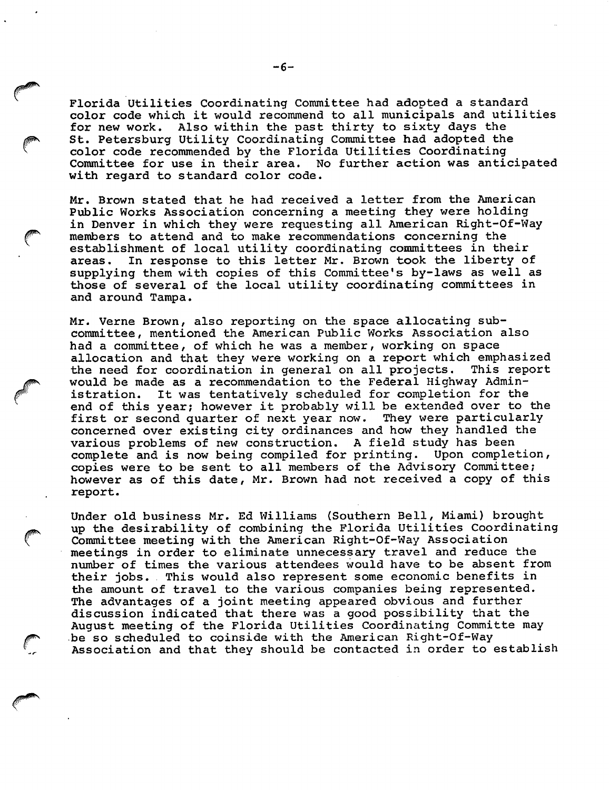Florida Utilities Coordinating Committee had adopted a standard color code which it would recommend to all municipals and utilities<br>for new work. Also within the past thirty to sixty days the Also within the past thirty to sixty days the St. Petersburg Utility Coordinating Committee had adopted the color code recommended by the Florida Utilities Coordinating Committee for use in their area. No further action was anticipated with regard to standard color code.

Mr. Brown stated that he had received a letter from the American Public Works Association concerning a meeting they were holding PUBLIC WORKS ASSOCIATION CONCERNING a meeting they were noturing<br>in Denver in which they were requesting all American Right-Of-Way<br>members to attend and to make recommendations concerning the<br>establishment of local utility establishment of local utility coordinating committees in their areas. In response to this letter Mr. Brown took the liberty of supplying them with copies of this Committee's by-laws as well as those of several of the local utility coordinating committees in and around Tampa.

Mr. Verne Brown, also reporting on the space allocating sub committee, mentioned the American Public Works Association also had a committee, of which he was a member, working on space allocation and that they were working on a report which emphasized the need for coordination in general on all projects. This report the need for coordination in general on all projects. would be made as a recommendation to the Federal Highway Administration. It was tentatively scheduled for completion for the end of this year; however it probably will be extended over to the<br>first or second quarter of next year now. They were particularly first or second quarter of next year now. concerned over existing city ordinances and how they handled the various problems of new construction. A field study has been complete and is now being compiled for printing. Upon completion, complete and is now being compiled for printing. copies were to be sent to all members of the Advisory Committee; however as of this date, Mr. Brown had not received a copy of this report.

Under old business Mr. Ed Williams (Southern Bell, Miami) brought<br>up the desirability of combining the Florida Utilities Coordinating<br>Committee meeting with the American Bight-Of-Way Association Committee meeting with the American Right-Of-Way Association meetings in order to eliminate unnecessary travel and reduce the number of times the various attendees would have to be absent from their jobs. This would also represent some economic benefits in the amount of travel to the various companies being represented. The advantages of a joint meeting appeared obvious and further discussion indicated that there was a good possibility that the August meeting of the Florida Utilities Coordinating Committe may discussion indicated that there was a good possibility that<br>August meeting of the Florida Utilities Coordinating Commi<br>be so scheduled to coinside with the American Right-Of-Way Association and that they should be contacted in order to establish